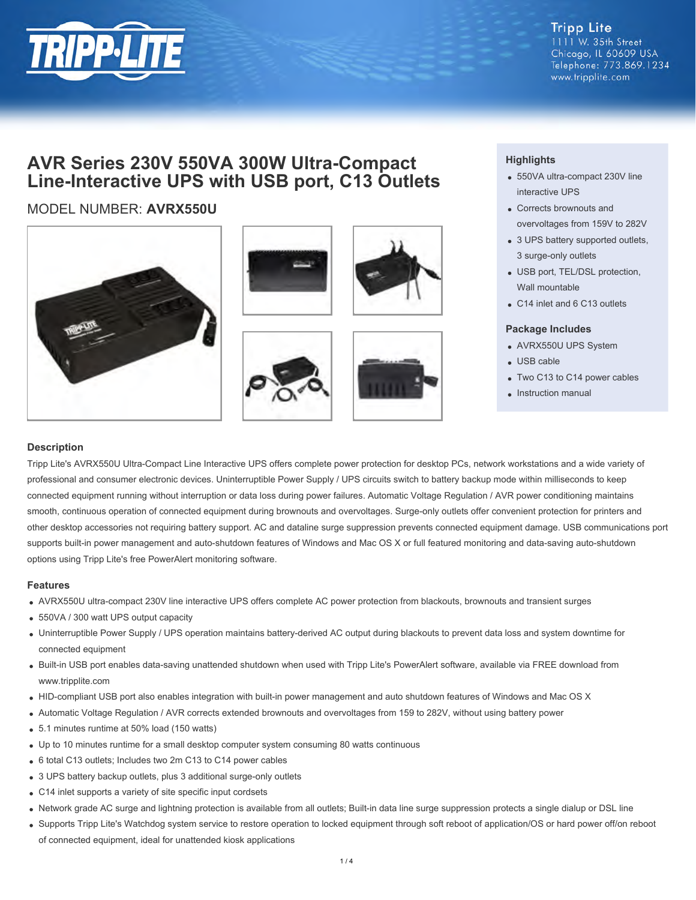

**Tripp Lite** 1111 W. 35th Street Chicago, IL 60609 USA Telephone: 773.869.1234 www.tripplite.com

# **AVR Series 230V 550VA 300W Ultra-Compact Line-Interactive UPS with USB port, C13 Outlets**

## MODEL NUMBER: **AVRX550U**









### **Highlights**

- 550VA ultra-compact 230V line interactive UPS
- Corrects brownouts and overvoltages from 159V to 282V
- 3 UPS battery supported outlets, 3 surge-only outlets
- USB port, TEL/DSL protection, Wall mountable
- C14 inlet and 6 C13 outlets

#### **Package Includes**

- AVRX550U UPS System
- USB cable
- Two C13 to C14 power cables
- Instruction manual

#### **Description**

Tripp Lite's AVRX550U Ultra-Compact Line Interactive UPS offers complete power protection for desktop PCs, network workstations and a wide variety of professional and consumer electronic devices. Uninterruptible Power Supply / UPS circuits switch to battery backup mode within milliseconds to keep connected equipment running without interruption or data loss during power failures. Automatic Voltage Regulation / AVR power conditioning maintains smooth, continuous operation of connected equipment during brownouts and overvoltages. Surge-only outlets offer convenient protection for printers and other desktop accessories not requiring battery support. AC and dataline surge suppression prevents connected equipment damage. USB communications port supports built-in power management and auto-shutdown features of Windows and Mac OS X or full featured monitoring and data-saving auto-shutdown options using Tripp Lite's free PowerAlert monitoring software.

#### **Features**

- AVRX550U ultra-compact 230V line interactive UPS offers complete AC power protection from blackouts, brownouts and transient surges
- 550VA / 300 watt UPS output capacity
- Uninterruptible Power Supply / UPS operation maintains battery-derived AC output during blackouts to prevent data loss and system downtime for connected equipment
- Built-in USB port enables data-saving unattended shutdown when used with Tripp Lite's PowerAlert software, available via FREE download from www.tripplite.com
- HID-compliant USB port also enables integration with built-in power management and auto shutdown features of Windows and Mac OS X
- Automatic Voltage Regulation / AVR corrects extended brownouts and overvoltages from 159 to 282V, without using battery power
- 5.1 minutes runtime at 50% load (150 watts)
- Up to 10 minutes runtime for a small desktop computer system consuming 80 watts continuous
- 6 total C13 outlets; Includes two 2m C13 to C14 power cables
- 3 UPS battery backup outlets, plus 3 additional surge-only outlets
- C14 inlet supports a variety of site specific input cordsets
- Network grade AC surge and lightning protection is available from all outlets; Built-in data line surge suppression protects a single dialup or DSL line
- Supports Tripp Lite's Watchdog system service to restore operation to locked equipment through soft reboot of application/OS or hard power off/on reboot of connected equipment, ideal for unattended kiosk applications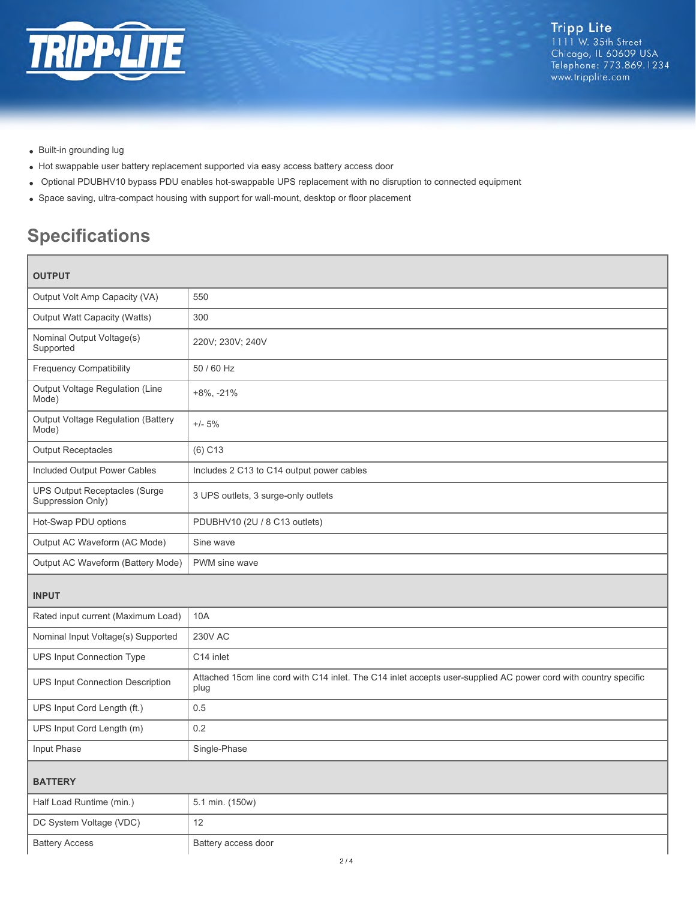

- Built-in grounding lug
- Hot swappable user battery replacement supported via easy access battery access door
- Optional PDUBHV10 bypass PDU enables hot-swappable UPS replacement with no disruption to connected equipment
- Space saving, ultra-compact housing with support for wall-mount, desktop or floor placement

# **Specifications**

| UUIFUI                                                    |                                                                                                                         |  |
|-----------------------------------------------------------|-------------------------------------------------------------------------------------------------------------------------|--|
| Output Volt Amp Capacity (VA)                             | 550                                                                                                                     |  |
| Output Watt Capacity (Watts)                              | 300                                                                                                                     |  |
| Nominal Output Voltage(s)<br>Supported                    | 220V; 230V; 240V                                                                                                        |  |
| <b>Frequency Compatibility</b>                            | 50 / 60 Hz                                                                                                              |  |
| Output Voltage Regulation (Line<br>Mode)                  | $+8\%$ , $-21\%$                                                                                                        |  |
| Output Voltage Regulation (Battery<br>Mode)               | $+/- 5%$                                                                                                                |  |
| <b>Output Receptacles</b>                                 | $(6)$ C <sub>13</sub>                                                                                                   |  |
| Included Output Power Cables                              | Includes 2 C13 to C14 output power cables                                                                               |  |
| <b>UPS Output Receptacles (Surge</b><br>Suppression Only) | 3 UPS outlets, 3 surge-only outlets                                                                                     |  |
| Hot-Swap PDU options                                      | PDUBHV10 (2U / 8 C13 outlets)                                                                                           |  |
| Output AC Waveform (AC Mode)                              | Sine wave                                                                                                               |  |
| Output AC Waveform (Battery Mode)                         | PWM sine wave                                                                                                           |  |
| <b>INPUT</b>                                              |                                                                                                                         |  |
| Rated input current (Maximum Load)                        | 10A                                                                                                                     |  |
| Nominal Input Voltage(s) Supported                        | <b>230V AC</b>                                                                                                          |  |
| <b>UPS Input Connection Type</b>                          | C14 inlet                                                                                                               |  |
| <b>UPS Input Connection Description</b>                   | Attached 15cm line cord with C14 inlet. The C14 inlet accepts user-supplied AC power cord with country specific<br>plug |  |
| UPS Input Cord Length (ft.)                               | 0.5                                                                                                                     |  |
| UPS Input Cord Length (m)                                 | 0.2                                                                                                                     |  |
| Input Phase                                               | Single-Phase                                                                                                            |  |
| <b>BATTERY</b>                                            |                                                                                                                         |  |
| Half Load Runtime (min.)                                  | 5.1 min. (150w)                                                                                                         |  |
| DC System Voltage (VDC)                                   | 12                                                                                                                      |  |
| <b>Battery Access</b>                                     | Battery access door                                                                                                     |  |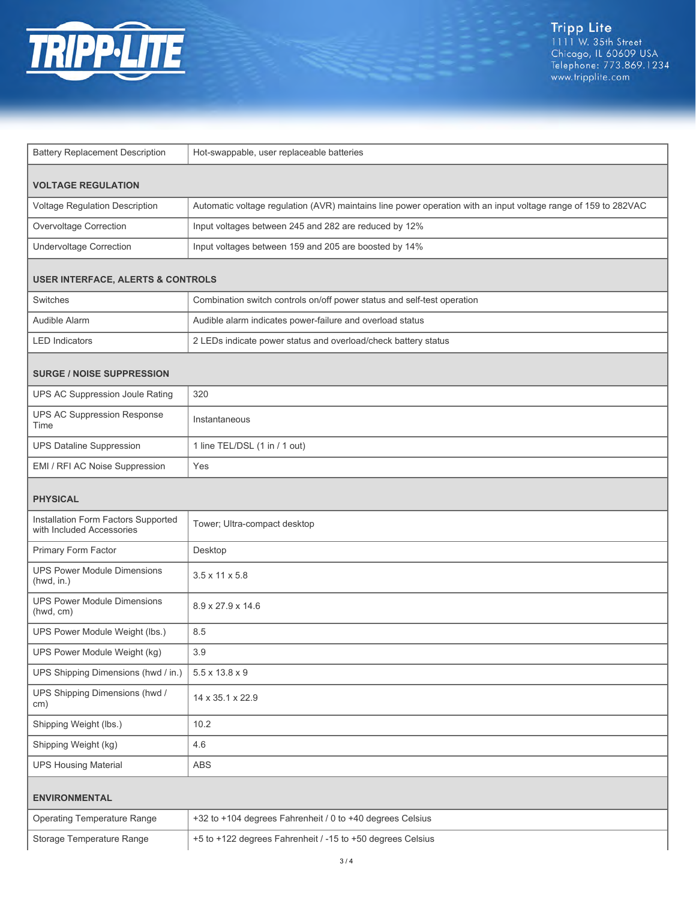

| <b>Battery Replacement Description</b>                           | Hot-swappable, user replaceable batteries                                                                      |  |
|------------------------------------------------------------------|----------------------------------------------------------------------------------------------------------------|--|
|                                                                  |                                                                                                                |  |
| <b>VOLTAGE REGULATION</b>                                        |                                                                                                                |  |
| Voltage Regulation Description                                   | Automatic voltage regulation (AVR) maintains line power operation with an input voltage range of 159 to 282VAC |  |
| Overvoltage Correction                                           | Input voltages between 245 and 282 are reduced by 12%                                                          |  |
| <b>Undervoltage Correction</b>                                   | Input voltages between 159 and 205 are boosted by 14%                                                          |  |
| <b>USER INTERFACE, ALERTS &amp; CONTROLS</b>                     |                                                                                                                |  |
| Switches                                                         | Combination switch controls on/off power status and self-test operation                                        |  |
| Audible Alarm                                                    | Audible alarm indicates power-failure and overload status                                                      |  |
| <b>LED Indicators</b>                                            | 2 LEDs indicate power status and overload/check battery status                                                 |  |
| <b>SURGE / NOISE SUPPRESSION</b>                                 |                                                                                                                |  |
| UPS AC Suppression Joule Rating                                  | 320                                                                                                            |  |
| <b>UPS AC Suppression Response</b><br>Time                       | Instantaneous                                                                                                  |  |
| <b>UPS Dataline Suppression</b>                                  | 1 line TEL/DSL (1 in / 1 out)                                                                                  |  |
| EMI / RFI AC Noise Suppression                                   | Yes                                                                                                            |  |
| <b>PHYSICAL</b>                                                  |                                                                                                                |  |
| Installation Form Factors Supported<br>with Included Accessories | Tower; Ultra-compact desktop                                                                                   |  |
| Primary Form Factor                                              | Desktop                                                                                                        |  |
| <b>UPS Power Module Dimensions</b><br>(hwd, in.)                 | $3.5 \times 11 \times 5.8$                                                                                     |  |
| <b>UPS Power Module Dimensions</b><br>(hwd, cm)                  | 8.9 x 27.9 x 14.6                                                                                              |  |
| UPS Power Module Weight (lbs.)                                   | 8.5                                                                                                            |  |
| UPS Power Module Weight (kg)                                     | 3.9                                                                                                            |  |
| UPS Shipping Dimensions (hwd / in.)                              | $5.5 \times 13.8 \times 9$                                                                                     |  |
| UPS Shipping Dimensions (hwd /<br>cm)                            | 14 x 35.1 x 22.9                                                                                               |  |
| Shipping Weight (lbs.)                                           | 10.2                                                                                                           |  |
| Shipping Weight (kg)                                             | 4.6                                                                                                            |  |
| <b>UPS Housing Material</b>                                      | ABS                                                                                                            |  |
| <b>ENVIRONMENTAL</b>                                             |                                                                                                                |  |
| <b>Operating Temperature Range</b>                               | +32 to +104 degrees Fahrenheit / 0 to +40 degrees Celsius                                                      |  |
| Storage Temperature Range                                        | +5 to +122 degrees Fahrenheit / -15 to +50 degrees Celsius                                                     |  |